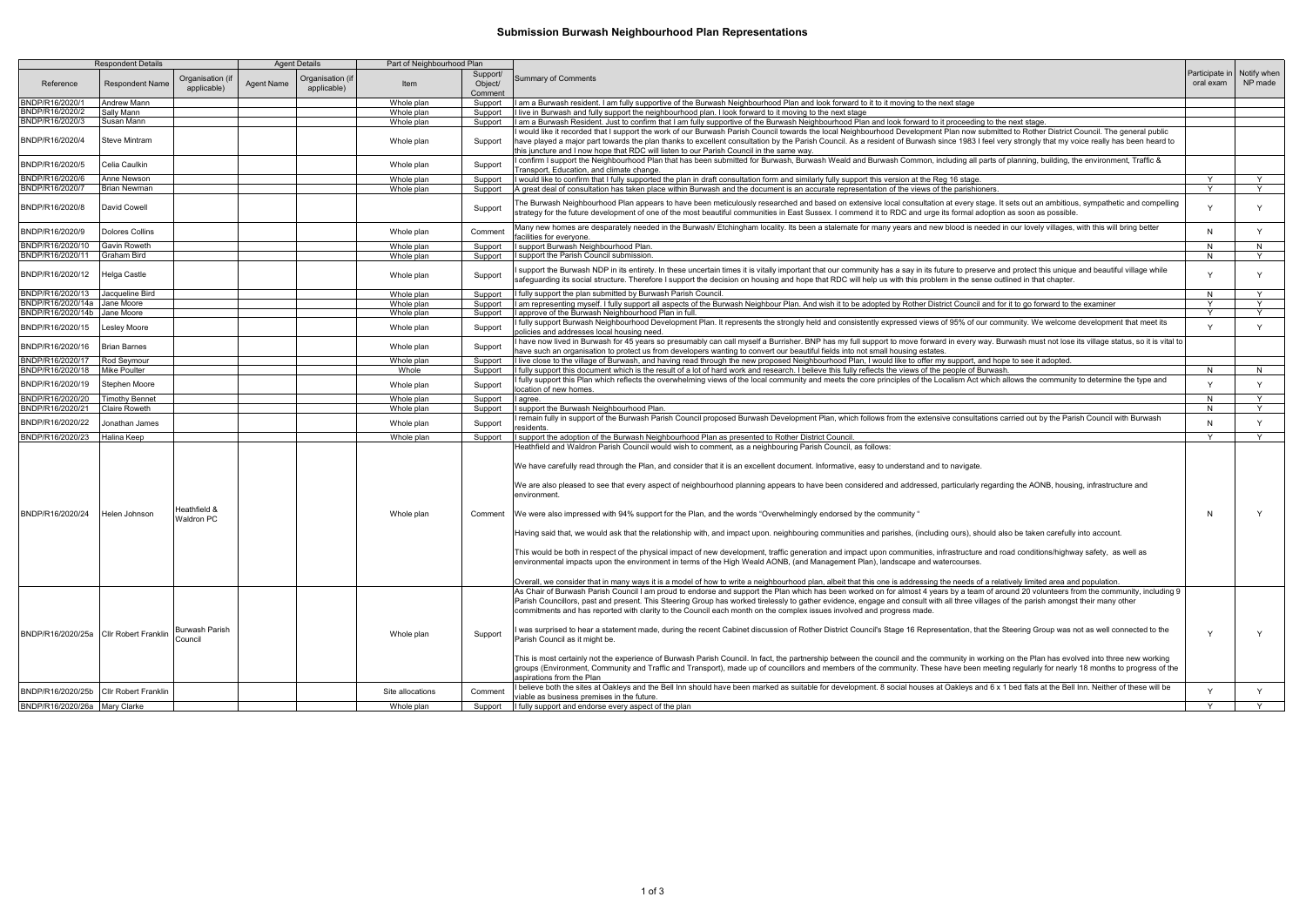## **Submission Burwash Neighbourhood Plan Representations**

| <b>Respondent Details</b>                                  |                             |                                                            | <b>Agent Details</b><br>Part of Neighbourhood Plan |                                 |                          |                                |                                                                                                                                                                                                                                                                                                                                                                                                                                                                                                                                                                                                                                                                                                                                                                                                                                                                                                                                                                                                                                                                                                                                                                                                                                                                                                                                                                                                                                                                                                                                                                                                                                                                                                                                                                                                                                                                                                                                                                                                         |                |                                       |
|------------------------------------------------------------|-----------------------------|------------------------------------------------------------|----------------------------------------------------|---------------------------------|--------------------------|--------------------------------|---------------------------------------------------------------------------------------------------------------------------------------------------------------------------------------------------------------------------------------------------------------------------------------------------------------------------------------------------------------------------------------------------------------------------------------------------------------------------------------------------------------------------------------------------------------------------------------------------------------------------------------------------------------------------------------------------------------------------------------------------------------------------------------------------------------------------------------------------------------------------------------------------------------------------------------------------------------------------------------------------------------------------------------------------------------------------------------------------------------------------------------------------------------------------------------------------------------------------------------------------------------------------------------------------------------------------------------------------------------------------------------------------------------------------------------------------------------------------------------------------------------------------------------------------------------------------------------------------------------------------------------------------------------------------------------------------------------------------------------------------------------------------------------------------------------------------------------------------------------------------------------------------------------------------------------------------------------------------------------------------------|----------------|---------------------------------------|
| Reference                                                  | <b>Respondent Name</b>      | Organisation (if<br>applicable)                            | <b>Agent Name</b>                                  | Organisation (if<br>applicable) | Item                     | Support/<br>Object/<br>Comment | <b>Summary of Comments</b>                                                                                                                                                                                                                                                                                                                                                                                                                                                                                                                                                                                                                                                                                                                                                                                                                                                                                                                                                                                                                                                                                                                                                                                                                                                                                                                                                                                                                                                                                                                                                                                                                                                                                                                                                                                                                                                                                                                                                                              | oral exam      | Participate in Notify when<br>NP made |
| BNDP/R16/2020/1                                            | <b>Andrew Mann</b>          |                                                            |                                                    |                                 | Whole plan               | Support                        | I am a Burwash resident. I am fully supportive of the Burwash Neighbourhood Plan and look forward to it to it moving to the next stage                                                                                                                                                                                                                                                                                                                                                                                                                                                                                                                                                                                                                                                                                                                                                                                                                                                                                                                                                                                                                                                                                                                                                                                                                                                                                                                                                                                                                                                                                                                                                                                                                                                                                                                                                                                                                                                                  |                |                                       |
| BNDP/R16/2020/2                                            | Sally Mann                  |                                                            |                                                    |                                 | Whole plan               | Support                        | I live in Burwash and fully support the neighbourhood plan. I look forward to it moving to the next stage                                                                                                                                                                                                                                                                                                                                                                                                                                                                                                                                                                                                                                                                                                                                                                                                                                                                                                                                                                                                                                                                                                                                                                                                                                                                                                                                                                                                                                                                                                                                                                                                                                                                                                                                                                                                                                                                                               |                |                                       |
| BNDP/R16/2020/3                                            | Susan Mann                  |                                                            |                                                    |                                 | Whole plan               | Support                        | I am a Burwash Resident. Just to confirm that I am fully supportive of the Burwash Neighbourhood Plan and look forward to it proceeding to the next stage.                                                                                                                                                                                                                                                                                                                                                                                                                                                                                                                                                                                                                                                                                                                                                                                                                                                                                                                                                                                                                                                                                                                                                                                                                                                                                                                                                                                                                                                                                                                                                                                                                                                                                                                                                                                                                                              |                |                                       |
| BNDP/R16/2020/4                                            | Steve Mintram               |                                                            |                                                    |                                 | Whole plan               | Support                        | I would like it recorded that I support the work of our Burwash Parish Council towards the local Neighbourhood Development Plan now submitted to Rother District Council. The general public<br>have played a major part towards the plan thanks to excellent consultation by the Parish Council. As a resident of Burwash since 1983 I feel very strongly that my voice really has been heard to<br>this juncture and I now hope that RDC will listen to our Parish Council in the same way.                                                                                                                                                                                                                                                                                                                                                                                                                                                                                                                                                                                                                                                                                                                                                                                                                                                                                                                                                                                                                                                                                                                                                                                                                                                                                                                                                                                                                                                                                                           |                |                                       |
| BNDP/R16/2020/5                                            | Celia Caulkin               |                                                            |                                                    |                                 | Whole plan               | Support                        | I confirm I support the Neighbourhood Plan that has been submitted for Burwash, Burwash Weald and Burwash Common, including all parts of planning, building, the environment, Traffic &<br>Transport, Education, and climate change.                                                                                                                                                                                                                                                                                                                                                                                                                                                                                                                                                                                                                                                                                                                                                                                                                                                                                                                                                                                                                                                                                                                                                                                                                                                                                                                                                                                                                                                                                                                                                                                                                                                                                                                                                                    |                |                                       |
| BNDP/R16/2020/6                                            | Anne Newson                 |                                                            |                                                    |                                 | Whole plan               | Support                        | I would like to confirm that I fully supported the plan in draft consultation form and similarly fully support this version at the Reg 16 stage.                                                                                                                                                                                                                                                                                                                                                                                                                                                                                                                                                                                                                                                                                                                                                                                                                                                                                                                                                                                                                                                                                                                                                                                                                                                                                                                                                                                                                                                                                                                                                                                                                                                                                                                                                                                                                                                        | $\vee$         | <b>Y</b>                              |
| BNDP/R16/2020/7                                            | <b>Brian Newman</b>         |                                                            |                                                    |                                 | Whole plan               | Support                        | A great deal of consultation has taken place within Burwash and the document is an accurate representation of the views of the parishioners.                                                                                                                                                                                                                                                                                                                                                                                                                                                                                                                                                                                                                                                                                                                                                                                                                                                                                                                                                                                                                                                                                                                                                                                                                                                                                                                                                                                                                                                                                                                                                                                                                                                                                                                                                                                                                                                            |                | <b>Y</b>                              |
| BNDP/R16/2020/8                                            | David Cowell                |                                                            |                                                    |                                 |                          | Support                        | The Burwash Neighbourhood Plan appears to have been meticulously researched and based on extensive local consultation at every stage. It sets out an ambitious, sympathetic and compelling<br>strategy for the future development of one of the most beautiful communities in East Sussex. I commend it to RDC and urge its formal adoption as soon as possible.                                                                                                                                                                                                                                                                                                                                                                                                                                                                                                                                                                                                                                                                                                                                                                                                                                                                                                                                                                                                                                                                                                                                                                                                                                                                                                                                                                                                                                                                                                                                                                                                                                        | $\checkmark$   | $\vee$                                |
| BNDP/R16/2020/9                                            | <b>Dolores Collins</b>      |                                                            |                                                    |                                 | Whole plan               | Comment                        | Many new homes are desparately needed in the Burwash/ Etchingham locality. Its been a stalemate for many years and new blood is needed in our lovely villages, with this will bring better<br>facilities for evervone.                                                                                                                                                                                                                                                                                                                                                                                                                                                                                                                                                                                                                                                                                                                                                                                                                                                                                                                                                                                                                                                                                                                                                                                                                                                                                                                                                                                                                                                                                                                                                                                                                                                                                                                                                                                  | N <sub>N</sub> | $\mathsf{Y}$                          |
| BNDP/R16/2020/10                                           | <b>Gavin Roweth</b>         |                                                            |                                                    |                                 | Whole plan               | Support                        | I support Burwash Neighbourhood Plan.                                                                                                                                                                                                                                                                                                                                                                                                                                                                                                                                                                                                                                                                                                                                                                                                                                                                                                                                                                                                                                                                                                                                                                                                                                                                                                                                                                                                                                                                                                                                                                                                                                                                                                                                                                                                                                                                                                                                                                   | N.             | N.                                    |
| BNDP/R16/2020/11                                           | <b>Graham Bird</b>          |                                                            |                                                    |                                 | Whole plan               | Support                        | I support the Parish Council submission.                                                                                                                                                                                                                                                                                                                                                                                                                                                                                                                                                                                                                                                                                                                                                                                                                                                                                                                                                                                                                                                                                                                                                                                                                                                                                                                                                                                                                                                                                                                                                                                                                                                                                                                                                                                                                                                                                                                                                                | N.             | Y                                     |
| BNDP/R16/2020/12                                           | Helga Castle                |                                                            |                                                    |                                 | Whole plan               | Support                        | support the Burwash NDP in its entirety. In these uncertain times it is vitally important that our community has a say in its future to preserve and protect this unique and beautiful village while<br>afequarding its social structure. Therefore I support the decision on housing and hope that RDC will help us with this problem in the sense outlined in that chapter.                                                                                                                                                                                                                                                                                                                                                                                                                                                                                                                                                                                                                                                                                                                                                                                                                                                                                                                                                                                                                                                                                                                                                                                                                                                                                                                                                                                                                                                                                                                                                                                                                           |                | $\mathsf{Y}$                          |
| BNDP/R16/2020/13                                           | Jacqueline Bird             |                                                            |                                                    |                                 | Whole plan               | Support                        | I fully support the plan submitted by Burwash Parish Council.                                                                                                                                                                                                                                                                                                                                                                                                                                                                                                                                                                                                                                                                                                                                                                                                                                                                                                                                                                                                                                                                                                                                                                                                                                                                                                                                                                                                                                                                                                                                                                                                                                                                                                                                                                                                                                                                                                                                           | -N             | $\vee$                                |
| BNDP/R16/2020/14a                                          | Jane Moore                  |                                                            |                                                    |                                 | Whole plan               | Support                        | l am representing myself. I fully support all aspects of the Burwash Neighbour Plan. And wish it to be adopted by Rother District Council and for it to go forward to the examiner                                                                                                                                                                                                                                                                                                                                                                                                                                                                                                                                                                                                                                                                                                                                                                                                                                                                                                                                                                                                                                                                                                                                                                                                                                                                                                                                                                                                                                                                                                                                                                                                                                                                                                                                                                                                                      | $\checkmark$   | Y                                     |
| BNDP/R16/2020/14b                                          | Jane Moore                  |                                                            |                                                    |                                 | Whole plan               | Support                        | I approve of the Burwash Neighbourhood Plan in full.                                                                                                                                                                                                                                                                                                                                                                                                                                                                                                                                                                                                                                                                                                                                                                                                                                                                                                                                                                                                                                                                                                                                                                                                                                                                                                                                                                                                                                                                                                                                                                                                                                                                                                                                                                                                                                                                                                                                                    | $\vee$         | Y                                     |
| BNDP/R16/2020/15                                           | Lesley Moore                |                                                            |                                                    |                                 | Whole plan               | Support                        | I fully support Burwash Neighbourhood Development Plan. It represents the strongly held and consistently expressed views of 95% of our community. We welcome development that meet its<br>policies and addresses local housing need.                                                                                                                                                                                                                                                                                                                                                                                                                                                                                                                                                                                                                                                                                                                                                                                                                                                                                                                                                                                                                                                                                                                                                                                                                                                                                                                                                                                                                                                                                                                                                                                                                                                                                                                                                                    | $\mathsf{Y}$   | Y                                     |
| BNDP/R16/2020/16                                           | <b>Brian Barnes</b>         |                                                            |                                                    |                                 | Whole plan               | Support                        | I have now lived in Burwash for 45 years so presumably can call myself a Burrisher. BNP has my full support to move forward in every way. Burwash must not lose its village status, so it is vital to<br>have such an organisation to protect us from developers wanting to convert our beautiful fields into not small housing estates.                                                                                                                                                                                                                                                                                                                                                                                                                                                                                                                                                                                                                                                                                                                                                                                                                                                                                                                                                                                                                                                                                                                                                                                                                                                                                                                                                                                                                                                                                                                                                                                                                                                                |                |                                       |
| BNDP/R16/2020/17                                           | Rod Seymour                 |                                                            |                                                    |                                 | Whole plan               | Support                        | I live close to the village of Burwash, and having read through the new proposed Neighbourhood Plan, I would like to offer my support, and hope to see it adopted.                                                                                                                                                                                                                                                                                                                                                                                                                                                                                                                                                                                                                                                                                                                                                                                                                                                                                                                                                                                                                                                                                                                                                                                                                                                                                                                                                                                                                                                                                                                                                                                                                                                                                                                                                                                                                                      |                |                                       |
| BNDP/R16/2020/18                                           | <b>Mike Poulter</b>         |                                                            |                                                    |                                 | Whole                    | Support                        | I fully support this document which is the result of a lot of hard work and research. I believe this fully reflects the views of the people of Burwash.                                                                                                                                                                                                                                                                                                                                                                                                                                                                                                                                                                                                                                                                                                                                                                                                                                                                                                                                                                                                                                                                                                                                                                                                                                                                                                                                                                                                                                                                                                                                                                                                                                                                                                                                                                                                                                                 | N.             | N                                     |
| BNDP/R16/2020/19                                           | Stephen Moore               |                                                            |                                                    |                                 | Whole plan               | Support                        | I fully support this Plan which reflects the overwhelming views of the local community and meets the core principles of the Localism Act which allows the community to determine the type and<br>location of new homes.                                                                                                                                                                                                                                                                                                                                                                                                                                                                                                                                                                                                                                                                                                                                                                                                                                                                                                                                                                                                                                                                                                                                                                                                                                                                                                                                                                                                                                                                                                                                                                                                                                                                                                                                                                                 | $\vee$         | Y                                     |
| BNDP/R16/2020/20                                           | <b>Timothy Bennet</b>       |                                                            |                                                    |                                 | Whole plan               | Support                        | l agree.                                                                                                                                                                                                                                                                                                                                                                                                                                                                                                                                                                                                                                                                                                                                                                                                                                                                                                                                                                                                                                                                                                                                                                                                                                                                                                                                                                                                                                                                                                                                                                                                                                                                                                                                                                                                                                                                                                                                                                                                | N              | Y                                     |
| BNDP/R16/2020/21                                           | Claire Roweth               |                                                            |                                                    |                                 | Whole plan               | Support                        | I support the Burwash Neighbourhood Plan.                                                                                                                                                                                                                                                                                                                                                                                                                                                                                                                                                                                                                                                                                                                                                                                                                                                                                                                                                                                                                                                                                                                                                                                                                                                                                                                                                                                                                                                                                                                                                                                                                                                                                                                                                                                                                                                                                                                                                               | N              | Y                                     |
| BNDP/R16/2020/22                                           | Jonathan James              |                                                            |                                                    |                                 | Whole plan               | Support                        | remain fully in support of the Burwash Parish Council proposed Burwash Development Plan, which follows from the extensive consultations carried out by the Parish Council with Burwash<br>residents.                                                                                                                                                                                                                                                                                                                                                                                                                                                                                                                                                                                                                                                                                                                                                                                                                                                                                                                                                                                                                                                                                                                                                                                                                                                                                                                                                                                                                                                                                                                                                                                                                                                                                                                                                                                                    | N <sub>N</sub> | $\mathsf{Y}$                          |
| BNDP/R16/2020/23                                           | Halina Keep                 |                                                            |                                                    |                                 | Whole plan               | Support                        | I support the adoption of the Burwash Neighbourhood Plan as presented to Rother District Council.                                                                                                                                                                                                                                                                                                                                                                                                                                                                                                                                                                                                                                                                                                                                                                                                                                                                                                                                                                                                                                                                                                                                                                                                                                                                                                                                                                                                                                                                                                                                                                                                                                                                                                                                                                                                                                                                                                       | Y              | Y                                     |
| BNDP/R16/2020/24<br>BNDP/R16/2020/25a Cllr Robert Franklin | Helen Johnson               | Heathfield &<br><b>Waldron PC</b><br><b>Burwash Parish</b> |                                                    |                                 | Whole plan<br>Whole plan | Comment<br>Support             | Heathfield and Waldron Parish Council would wish to comment, as a neighbouring Parish Council, as follows:<br>We have carefully read through the Plan, and consider that it is an excellent document. Informative, easy to understand and to navigate.<br>We are also pleased to see that every aspect of neighbourhood planning appears to have been considered and addressed, particularly regarding the AONB, housing, infrastructure and<br>environment.<br>We were also impressed with 94% support for the Plan, and the words "Overwhelmingly endorsed by the community"<br>Having said that, we would ask that the relationship with, and impact upon. neighbouring communities and parishes, (including ours), should also be taken carefully into account.<br>This would be both in respect of the physical impact of new development, traffic generation and impact upon communities, infrastructure and road conditions/highway safety, as well as<br>environmental impacts upon the environment in terms of the High Weald AONB, (and Management Plan), landscape and watercourses.<br>Overall, we consider that in many ways it is a model of how to write a neighbourhood plan, albeit that this one is addressing the needs of a relatively limited area and population.<br>As Chair of Burwash Parish Council I am proud to endorse and support the Plan which has been worked on for almost 4 years by a team of around 20 volunteers from the community, including 9<br>Parish Councillors, past and present. This Steering Group has worked tirelessly to gather evidence, engage and consult with all three villages of the parish amongst their many other<br>commitments and has reported with clarity to the Council each month on the complex issues involved and progress made.<br>was surprised to hear a statement made, during the recent Cabinet discussion of Rother District Council's Stage 16 Representation, that the Steering Group was not as well connected to the | $\vee$         | Y                                     |
|                                                            |                             | Council                                                    |                                                    |                                 |                          |                                | Parish Council as it might be.<br>This is most certainly not the experience of Burwash Parish Council. In fact, the partnership between the council and the community in working on the Plan has evolved into three new working<br>groups (Environment, Community and Traffic and Transport), made up of councillors and members of the community. These have been meeting regularly for nearly 18 months to progress of the<br>aspirations from the Plan<br>believe both the sites at Oakleys and the Bell Inn should have been marked as suitable for development. 8 social houses at Oakleys and 6 x 1 bed flats at the Bell Inn. Neither of these will be                                                                                                                                                                                                                                                                                                                                                                                                                                                                                                                                                                                                                                                                                                                                                                                                                                                                                                                                                                                                                                                                                                                                                                                                                                                                                                                                           |                |                                       |
| BNDP/R16/2020/25b                                          | <b>Cllr Robert Franklin</b> |                                                            |                                                    |                                 | Site allocations         | Comment                        | viable as business premises in the future.                                                                                                                                                                                                                                                                                                                                                                                                                                                                                                                                                                                                                                                                                                                                                                                                                                                                                                                                                                                                                                                                                                                                                                                                                                                                                                                                                                                                                                                                                                                                                                                                                                                                                                                                                                                                                                                                                                                                                              | Y              | Y                                     |
| BNDP/R16/2020/26a Mary Clarke                              |                             |                                                            |                                                    |                                 | Whole plan               |                                | Support   I fully support and endorse every aspect of the plan                                                                                                                                                                                                                                                                                                                                                                                                                                                                                                                                                                                                                                                                                                                                                                                                                                                                                                                                                                                                                                                                                                                                                                                                                                                                                                                                                                                                                                                                                                                                                                                                                                                                                                                                                                                                                                                                                                                                          | Y              | Y                                     |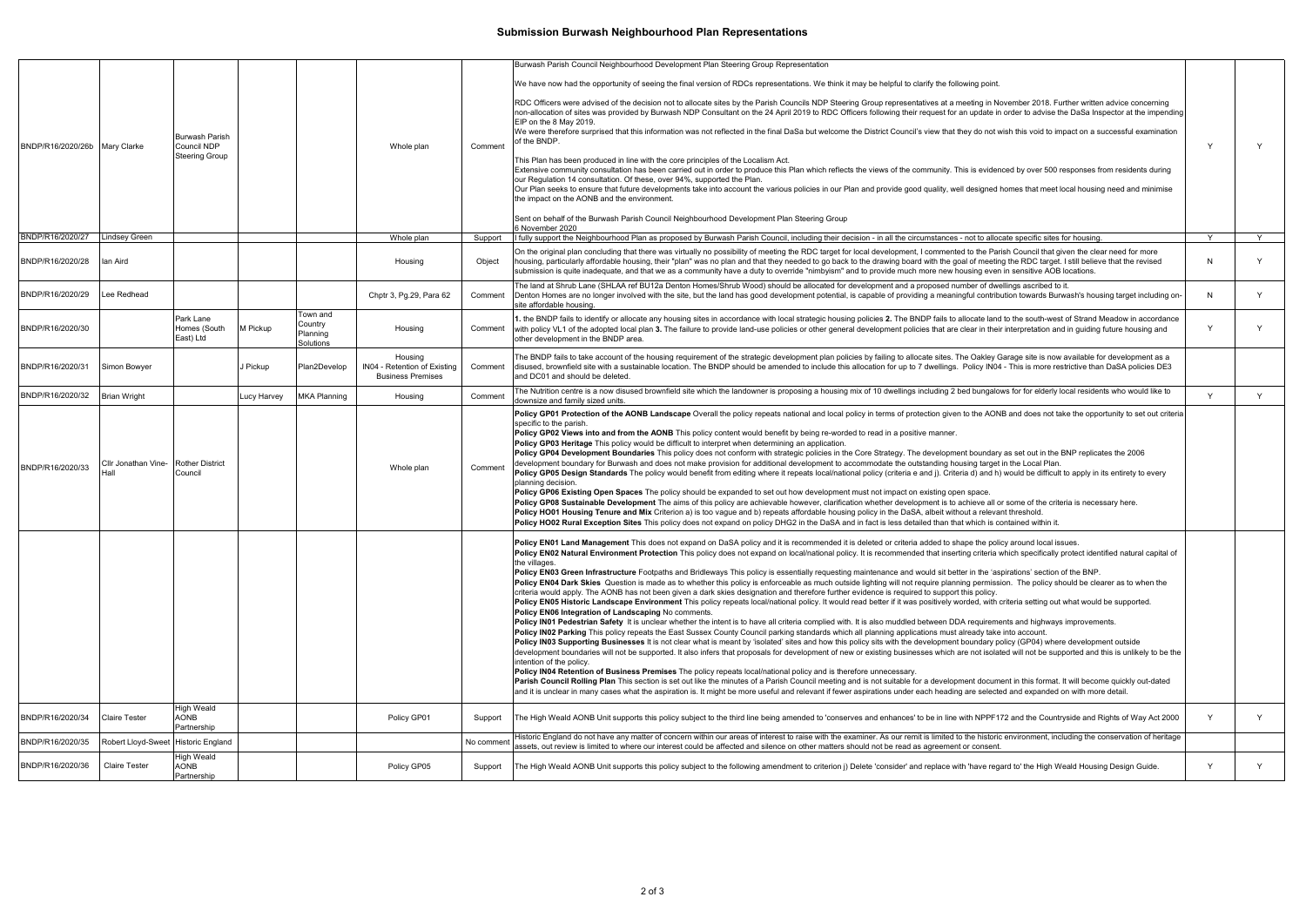## **Submission Burwash Neighbourhood Plan Representations**

|                               |                                     |                                                               |             |                                              |                                                                     |           | Burwash Parish Council Neighbourhood Development Plan Steering Group Representation                                                                                                                                                                                                                                                                                                                                                                                                                                                                                                                                                                                                                                                                                                                                                                                                                                                                                                                                                                                                                                                                                                                                                                                                                                                                                                                                                                                                                                                                                                                                                                                                                                                                                                                                                                                                                                                                                                                                                                                                                                                                                                                                                                                                                                                                                                                                                                             |              |   |
|-------------------------------|-------------------------------------|---------------------------------------------------------------|-------------|----------------------------------------------|---------------------------------------------------------------------|-----------|-----------------------------------------------------------------------------------------------------------------------------------------------------------------------------------------------------------------------------------------------------------------------------------------------------------------------------------------------------------------------------------------------------------------------------------------------------------------------------------------------------------------------------------------------------------------------------------------------------------------------------------------------------------------------------------------------------------------------------------------------------------------------------------------------------------------------------------------------------------------------------------------------------------------------------------------------------------------------------------------------------------------------------------------------------------------------------------------------------------------------------------------------------------------------------------------------------------------------------------------------------------------------------------------------------------------------------------------------------------------------------------------------------------------------------------------------------------------------------------------------------------------------------------------------------------------------------------------------------------------------------------------------------------------------------------------------------------------------------------------------------------------------------------------------------------------------------------------------------------------------------------------------------------------------------------------------------------------------------------------------------------------------------------------------------------------------------------------------------------------------------------------------------------------------------------------------------------------------------------------------------------------------------------------------------------------------------------------------------------------------------------------------------------------------------------------------------------------|--------------|---|
| BNDP/R16/2020/26b Mary Clarke |                                     | <b>Burwash Parish</b><br>Council NDP<br><b>Steering Group</b> |             |                                              | Whole plan                                                          | Comment   | We have now had the opportunity of seeing the final version of RDCs representations. We think it may be helpful to clarify the following point<br>RDC Officers were advised of the decision not to allocate sites by the Parish Councils NDP Steering Group representatives at a meeting in November 2018. Further written advice concerning<br>non-allocation of sites was provided by Burwash NDP Consultant on the 24 April 2019 to RDC Officers following their request for an update in order to advise the DaSa Inspector at the impending<br>EIP on the 8 May 2019.<br>We were therefore surprised that this information was not reflected in the final DaSa but welcome the District Council's view that they do not wish this void to impact on a successful examination<br>of the BNDP.<br>This Plan has been produced in line with the core principles of the Localism Act.<br>Extensive community consultation has been carried out in order to produce this Plan which reflects the views of the community. This is evidenced by over 500 responses from residents during<br>our Regulation 14 consultation. Of these, over 94%, supported the Plan.<br>Our Plan seeks to ensure that future developments take into account the various policies in our Plan and provide good quality, well designed homes that meet local housing need and minimise<br>the impact on the AONB and the environment.<br>Sent on behalf of the Burwash Parish Council Neighbourhood Development Plan Steering Group<br>6 November 2020                                                                                                                                                                                                                                                                                                                                                                                                                                                                                                                                                                                                                                                                                                                                                                                                                                                                                                                               | $\vee$       | Y |
| BNDP/R16/2020/27              | <b>Lindsey Green</b>                |                                                               |             |                                              | Whole plan                                                          | Support   | I fully support the Neighbourhood Plan as proposed by Burwash Parish Council, including their decision - in all the circumstances - not to allocate specific sites for housing                                                                                                                                                                                                                                                                                                                                                                                                                                                                                                                                                                                                                                                                                                                                                                                                                                                                                                                                                                                                                                                                                                                                                                                                                                                                                                                                                                                                                                                                                                                                                                                                                                                                                                                                                                                                                                                                                                                                                                                                                                                                                                                                                                                                                                                                                  | ⊇Y.          | Y |
| BNDP/R16/2020/28              | lan Aird                            |                                                               |             |                                              | Housing                                                             | Object    | On the original plan concluding that there was virtually no possibility of meeting the RDC target for local development, I commented to the Parish Council that given the clear need for more<br>housing, particularly affordable housing, their "plan" was no plan and that they needed to go back to the drawing board with the goal of meeting the RDC target. I still believe that the revised<br>submission is quite inadequate, and that we as a community have a duty to override "nimbyism" and to provide much more new housing even in sensitive AOB locations.                                                                                                                                                                                                                                                                                                                                                                                                                                                                                                                                                                                                                                                                                                                                                                                                                                                                                                                                                                                                                                                                                                                                                                                                                                                                                                                                                                                                                                                                                                                                                                                                                                                                                                                                                                                                                                                                                       | <b>N</b>     |   |
| BNDP/R16/2020/29              | Lee Redhead                         |                                                               |             |                                              | Chptr 3, Pg.29, Para 62                                             | Comment   | The land at Shrub Lane (SHLAA ref BU12a Denton Homes/Shrub Wood) should be allocated for development and a proposed number of dwellings ascribed to it.<br>Denton Homes are no longer involved with the site, but the land has good development potential, is capable of providing a meaningful contribution towards Burwash's housing target including on-<br>site affordable housing.                                                                                                                                                                                                                                                                                                                                                                                                                                                                                                                                                                                                                                                                                                                                                                                                                                                                                                                                                                                                                                                                                                                                                                                                                                                                                                                                                                                                                                                                                                                                                                                                                                                                                                                                                                                                                                                                                                                                                                                                                                                                         | N            | Y |
| BNDP/R16/2020/30              |                                     | Park Lane<br>Homes (South<br>East) Ltd                        | M Pickup    | Town and<br>Country<br>Planning<br>Solutions | Housing                                                             | Comment   | 1. the BNDP fails to identify or allocate any housing sites in accordance with local strategic housing policies 2. The BNDP fails to allocate land to the south-west of Strand Meadow in accordance<br>with policy VL1 of the adopted local plan 3. The failure to provide land-use policies or other general development policies that are clear in their interpretation and in guiding future housing and<br>other development in the BNDP area.                                                                                                                                                                                                                                                                                                                                                                                                                                                                                                                                                                                                                                                                                                                                                                                                                                                                                                                                                                                                                                                                                                                                                                                                                                                                                                                                                                                                                                                                                                                                                                                                                                                                                                                                                                                                                                                                                                                                                                                                              | $\mathsf{Y}$ |   |
| BNDP/R16/2020/31              | <b>Simon Bowyer</b>                 |                                                               | J Pickup    | Plan2Develop                                 | Housing<br>IN04 - Retention of Existing<br><b>Business Premises</b> | Comment   | The BNDP fails to take account of the housing requirement of the strategic development plan policies by failing to allocate sites. The Oakley Garage site is now available for development as a<br>disused, brownfield site with a sustainable location. The BNDP should be amended to include this allocation for up to 7 dwellings. Policy IN04 - This is more restrictive than DaSA policies DE3<br>and DC01 and should be deleted.                                                                                                                                                                                                                                                                                                                                                                                                                                                                                                                                                                                                                                                                                                                                                                                                                                                                                                                                                                                                                                                                                                                                                                                                                                                                                                                                                                                                                                                                                                                                                                                                                                                                                                                                                                                                                                                                                                                                                                                                                          |              |   |
| BNDP/R16/2020/32              | <b>Brian Wright</b>                 |                                                               | Lucy Harvey | <b>MKA Planning</b>                          | Housing                                                             | Comment   | The Nutrition centre is a now disused brownfield site which the landowner is proposing a housing mix of 10 dwellings including 2 bed bungalows for for elderly local residents who would like to<br>downsize and family sized units.                                                                                                                                                                                                                                                                                                                                                                                                                                                                                                                                                                                                                                                                                                                                                                                                                                                                                                                                                                                                                                                                                                                                                                                                                                                                                                                                                                                                                                                                                                                                                                                                                                                                                                                                                                                                                                                                                                                                                                                                                                                                                                                                                                                                                            | $\vee$       | Y |
| BNDP/R16/2020/33              | Cllr Jonathan Vine-<br>Hall         | <b>Rother District</b><br>Council                             |             |                                              | Whole plan                                                          | Comment   | Policy GP01 Protection of the AONB Landscape Overall the policy repeats national and local policy in terms of protection given to the AONB and does not take the opportunity to set out criteria<br>specific to the parish.<br>Policy GP02 Views into and from the AONB This policy content would benefit by being re-worded to read in a positive manner.<br>Policy GP03 Heritage This policy would be difficult to interpret when determining an application.<br>Policy GP04 Development Boundaries This policy does not conform with strategic policies in the Core Strategy. The development boundary as set out in the BNP replicates the 2006<br>development boundary for Burwash and does not make provision for additional development to accommodate the outstanding housing target in the Local Plan.<br>Policy GP05 Design Standards The policy would benefit from editing where it repeats local/national policy (criteria e and j). Criteria d) and h) would be difficult to apply in its entirety to every<br>planning decision<br>Policy GP06 Existing Open Spaces The policy should be expanded to set out how development must not impact on existing open space.<br>Policy GP08 Sustainable Development The aims of this policy are achievable however, clarification whether development is to achieve all or some of the criteria is necessary here.<br>Policy HO01 Housing Tenure and Mix Criterion a) is too vague and b) repeats affordable housing policy in the DaSA, albeit without a relevant threshold.<br>Policy HO02 Rural Exception Sites This policy does not expand on policy DHG2 in the DaSA and in fact is less detailed than that which is contained within it.                                                                                                                                                                                                                                                                                                                                                                                                                                                                                                                                                                                                                                                                                                                                                            |              |   |
|                               |                                     |                                                               |             |                                              |                                                                     |           | Policy EN01 Land Management This does not expand on DaSA policy and it is recommended it is deleted or criteria added to shape the policy around local issues.<br>Policy EN02 Natural Environment Protection This policy does not expand on local/national policy. It is recommended that inserting criteria which specifically protect identified natural capital of<br>the villages.<br>Policy EN03 Green Infrastructure Footpaths and Bridleways This policy is essentially requesting maintenance and would sit better in the 'aspirations' section of the BNP.<br>Policy EN04 Dark Skies Question is made as to whether this policy is enforceable as much outside lighting will not require planning permission. The policy should be clearer as to when the<br>criteria would apply. The AONB has not been given a dark skies designation and therefore further evidence is required to support this policy.<br>Policy EN05 Historic Landscape Environment This policy repeats local/national policy. It would read better if it was positively worded, with criteria setting out what would be supported.<br>Policy EN06 Integration of Landscaping No comments.<br>Policy IN01 Pedestrian Safety It is unclear whether the intent is to have all criteria complied with. It is also muddled between DDA requirements and highways improvements.<br>Policy IN02 Parking This policy repeats the East Sussex County Council parking standards which all planning applications must already take into account.<br>Policy IN03 Supporting Businesses It is not clear what is meant by 'isolated' sites and how this policy sits with the development boundary policy (GP04) where development outside<br>development boundaries will not be supported. It also infers that proposals for development of new or existing businesses which are not isolated will not be supported and this is unlikely to be the<br>intention of the policy.<br>Policy IN04 Retention of Business Premises The policy repeats local/national policy and is therefore unnecessary.<br>Parish Council Rolling Plan This section is set out like the minutes of a Parish Council meeting and is not suitable for a development document in this format. It will become quickly out-dated<br>and it is unclear in many cases what the aspiration is. It might be more useful and relevant if fewer aspirations under each heading are selected and expanded on with more detail. |              |   |
| BNDP/R16/2020/34              | <b>Claire Tester</b>                | <b>High Weald</b><br><b>AONB</b><br>Partnership               |             |                                              | Policy GP01                                                         | Support   | The High Weald AONB Unit supports this policy subject to the third line being amended to 'conserves and enhances' to be in line with NPPF172 and the Countryside and Rights of Way Act 2000                                                                                                                                                                                                                                                                                                                                                                                                                                                                                                                                                                                                                                                                                                                                                                                                                                                                                                                                                                                                                                                                                                                                                                                                                                                                                                                                                                                                                                                                                                                                                                                                                                                                                                                                                                                                                                                                                                                                                                                                                                                                                                                                                                                                                                                                     | Y            | Y |
| BNDP/R16/2020/35              | Robert Lloyd-Sweet Historic England |                                                               |             |                                              |                                                                     | No commen | Historic England do not have any matter of concern within our areas of interest to raise with the examiner. As our remit is limited to the historic environment, including the conservation of heritage<br>assets, out review is limited to where our interest could be affected and silence on other matters should not be read as agreement or consent.                                                                                                                                                                                                                                                                                                                                                                                                                                                                                                                                                                                                                                                                                                                                                                                                                                                                                                                                                                                                                                                                                                                                                                                                                                                                                                                                                                                                                                                                                                                                                                                                                                                                                                                                                                                                                                                                                                                                                                                                                                                                                                       |              |   |
| BNDP/R16/2020/36              | <b>Claire Tester</b>                | <b>High Weald</b><br>AONB<br>Partnership                      |             |                                              | Policy GP05                                                         | Support   | The High Weald AONB Unit supports this policy subject to the following amendment to criterion j) Delete 'consider' and replace with 'have regard to' the High Weald Housing Design Guide.                                                                                                                                                                                                                                                                                                                                                                                                                                                                                                                                                                                                                                                                                                                                                                                                                                                                                                                                                                                                                                                                                                                                                                                                                                                                                                                                                                                                                                                                                                                                                                                                                                                                                                                                                                                                                                                                                                                                                                                                                                                                                                                                                                                                                                                                       | Y            | Y |